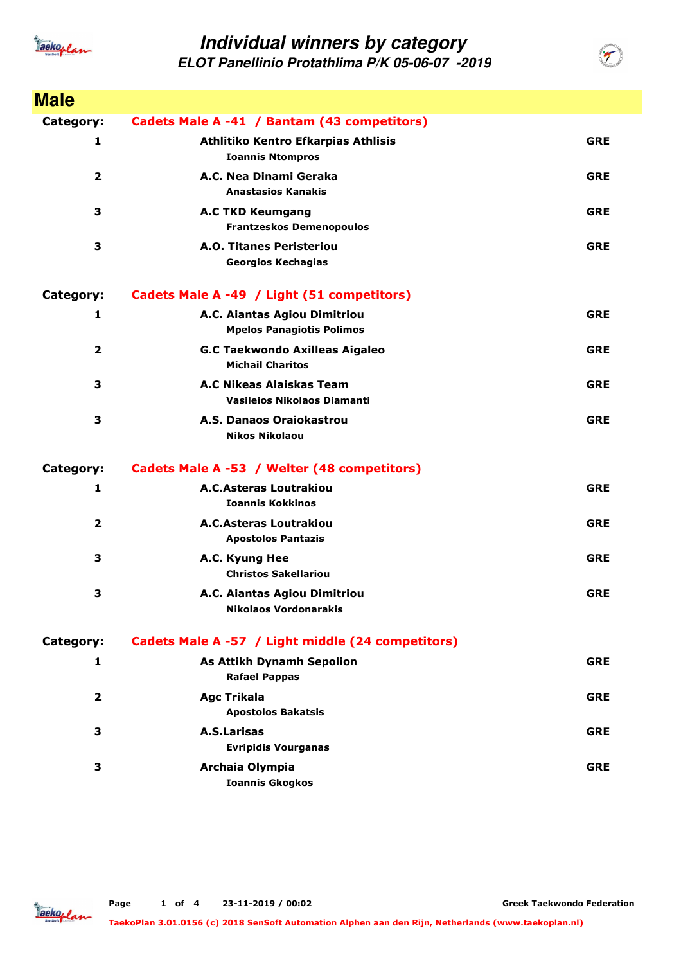

**ELOT Panellinio Protathlima P/K 05-06-07 -2019**

| <b>Male</b>             |                                                                  |            |
|-------------------------|------------------------------------------------------------------|------------|
| Category:               | Cadets Male A -41 / Bantam (43 competitors)                      |            |
| 1                       | Athlitiko Kentro Efkarpias Athlisis<br><b>Ioannis Ntompros</b>   | <b>GRE</b> |
| $\overline{\mathbf{2}}$ | A.C. Nea Dinami Geraka<br><b>Anastasios Kanakis</b>              | <b>GRE</b> |
| 3                       | <b>A.C TKD Keumgang</b><br><b>Frantzeskos Demenopoulos</b>       | <b>GRE</b> |
| 3                       | <b>A.O. Titanes Peristeriou</b><br><b>Georgios Kechagias</b>     | <b>GRE</b> |
| Category:               | Cadets Male A -49 / Light (51 competitors)                       |            |
| 1                       | A.C. Aiantas Agiou Dimitriou<br><b>Mpelos Panagiotis Polimos</b> | <b>GRE</b> |
| $\overline{\mathbf{2}}$ | <b>G.C Taekwondo Axilleas Aigaleo</b><br><b>Michail Charitos</b> | <b>GRE</b> |
| 3                       | A.C Nikeas Alaiskas Team<br><b>Vasileios Nikolaos Diamanti</b>   | <b>GRE</b> |
| 3                       | A.S. Danaos Oraiokastrou<br><b>Nikos Nikolaou</b>                | <b>GRE</b> |
| Category:               | Cadets Male A -53 / Welter (48 competitors)                      |            |
| 1                       | <b>A.C.Asteras Loutrakiou</b><br><b>Ioannis Kokkinos</b>         | <b>GRE</b> |
| $\overline{2}$          | <b>A.C.Asteras Loutrakiou</b><br><b>Apostolos Pantazis</b>       | <b>GRE</b> |
| 3                       | A.C. Kyung Hee<br><b>Christos Sakellariou</b>                    | <b>GRE</b> |
| 3                       | A.C. Aiantas Agiou Dimitriou<br><b>Nikolaos Vordonarakis</b>     | <b>GRE</b> |
| Category:               | Cadets Male A -57 / Light middle (24 competitors)                |            |
| 1                       | <b>As Attikh Dynamh Sepolion</b><br><b>Rafael Pappas</b>         | <b>GRE</b> |
| $\overline{2}$          | <b>Agc Trikala</b><br><b>Apostolos Bakatsis</b>                  | <b>GRE</b> |
| 3                       | <b>A.S.Larisas</b><br><b>Evripidis Vourganas</b>                 | <b>GRE</b> |
| 3                       | Archaia Olympia<br><b>Ioannis Gkogkos</b>                        | <b>GRE</b> |

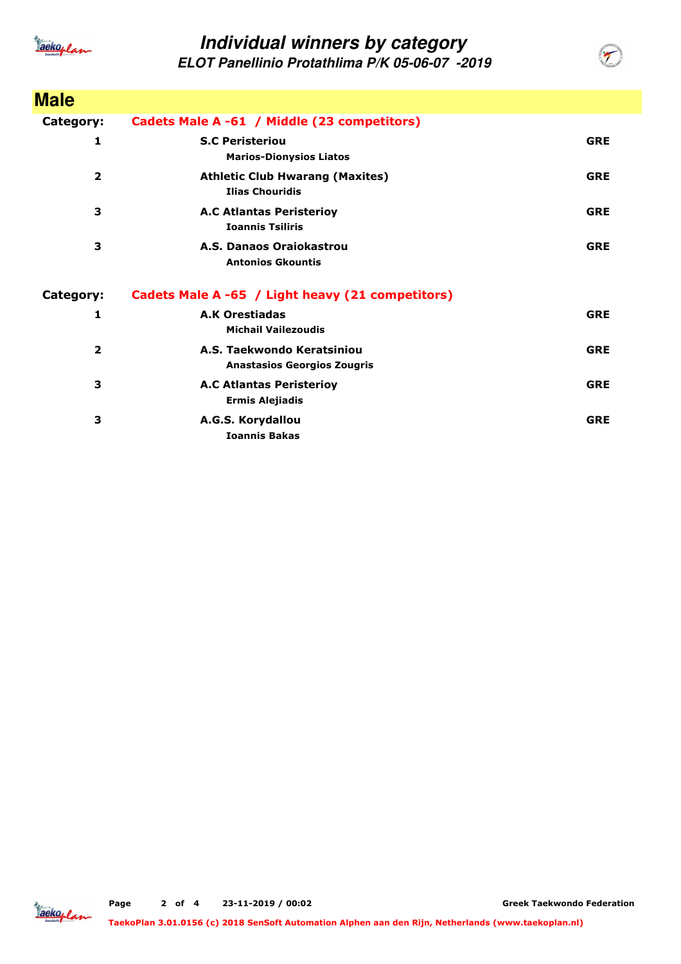

**ELOT Panellinio Protathlima P/K 05-06-07 -2019**

| <b>Male</b>    |                                                                  |            |
|----------------|------------------------------------------------------------------|------------|
| Category:      | Cadets Male A -61 / Middle (23 competitors)                      |            |
| 1              | <b>S.C Peristeriou</b><br><b>Marios-Dionysios Liatos</b>         | <b>GRE</b> |
| $\overline{2}$ | <b>Athletic Club Hwarang (Maxites)</b><br><b>Ilias Chouridis</b> | <b>GRE</b> |
| 3              | <b>A.C Atlantas Peristerioy</b><br><b>Ioannis Tsiliris</b>       | <b>GRE</b> |
| 3              | A.S. Danaos Oraiokastrou<br><b>Antonios Gkountis</b>             | <b>GRE</b> |
| Category:      | Cadets Male A -65 / Light heavy (21 competitors)                 |            |
| 1              | <b>A.K Orestiadas</b><br><b>Michail Vailezoudis</b>              | <b>GRE</b> |
| $\mathbf{2}$   | A.S. Taekwondo Keratsiniou<br><b>Anastasios Georgios Zougris</b> | <b>GRE</b> |
| 3              | <b>A.C Atlantas Peristerioy</b><br><b>Ermis Alejiadis</b>        | <b>GRE</b> |
| 3              | A.G.S. Korydallou<br><b>Ioannis Bakas</b>                        | <b>GRE</b> |

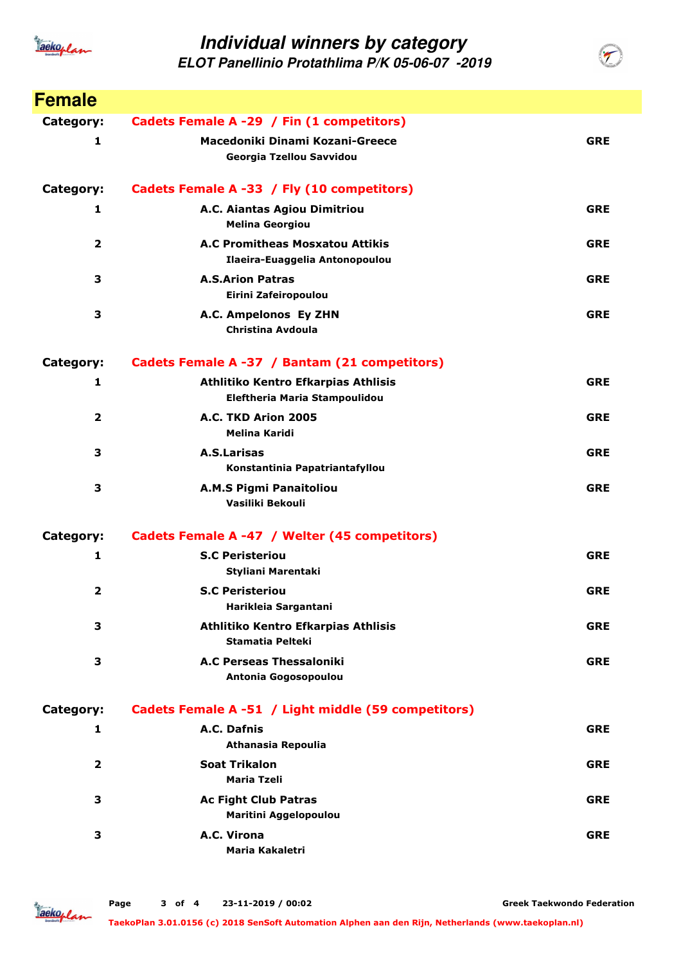

**ELOT Panellinio Protathlima P/K 05-06-07 -2019**

| <b>Female</b>  |                                                                      |            |
|----------------|----------------------------------------------------------------------|------------|
| Category:      | Cadets Female A -29 / Fin (1 competitors)                            |            |
| 1              | Macedoniki Dinami Kozani-Greece<br>Georgia Tzellou Savvidou          | <b>GRE</b> |
| Category:      | Cadets Female A -33 / Fly (10 competitors)                           |            |
| 1              | A.C. Aiantas Agiou Dimitriou<br><b>Melina Georgiou</b>               | <b>GRE</b> |
| $\overline{2}$ | A.C Promitheas Mosxatou Attikis<br>Ilaeira-Euaggelia Antonopoulou    | <b>GRE</b> |
| 3              | <b>A.S.Arion Patras</b><br>Eirini Zafeiropoulou                      | <b>GRE</b> |
| 3              | A.C. Ampelonos Ey ZHN<br>Christina Avdoula                           | <b>GRE</b> |
| Category:      | Cadets Female A -37 / Bantam (21 competitors)                        |            |
| 1              | Athlitiko Kentro Efkarpias Athlisis<br>Eleftheria Maria Stampoulidou | <b>GRE</b> |
| 2              | A.C. TKD Arion 2005<br><b>Melina Karidi</b>                          | <b>GRE</b> |
| 3              | A.S.Larisas<br>Konstantinia Papatriantafyllou                        | <b>GRE</b> |
| 3              | A.M.S Pigmi Panaitoliou<br>Vasiliki Bekouli                          | <b>GRE</b> |
| Category:      | Cadets Female A -47 / Welter (45 competitors)                        |            |
| 1              | <b>S.C Peristeriou</b><br>Styliani Marentaki                         | <b>GRE</b> |
| $\overline{2}$ | <b>S.C Peristeriou</b><br>Harikleia Sargantani                       | <b>GRE</b> |
| 3              | Athlitiko Kentro Efkarpias Athlisis<br><b>Stamatia Pelteki</b>       | <b>GRE</b> |
| 3              | <b>A.C Perseas Thessaloniki</b><br>Antonia Gogosopoulou              | <b>GRE</b> |
| Category:      | Cadets Female A -51 / Light middle (59 competitors)                  |            |
| 1              | A.C. Dafnis<br>Athanasia Repoulia                                    | <b>GRE</b> |
| $\overline{2}$ | <b>Soat Trikalon</b><br>Maria Tzeli                                  | <b>GRE</b> |
| 3              | <b>Ac Fight Club Patras</b><br>Maritini Aggelopoulou                 | <b>GRE</b> |
| 3              | A.C. Virona<br>Maria Kakaletri                                       | <b>GRE</b> |

Jackoplan

**Greek Taekwondo Federation**